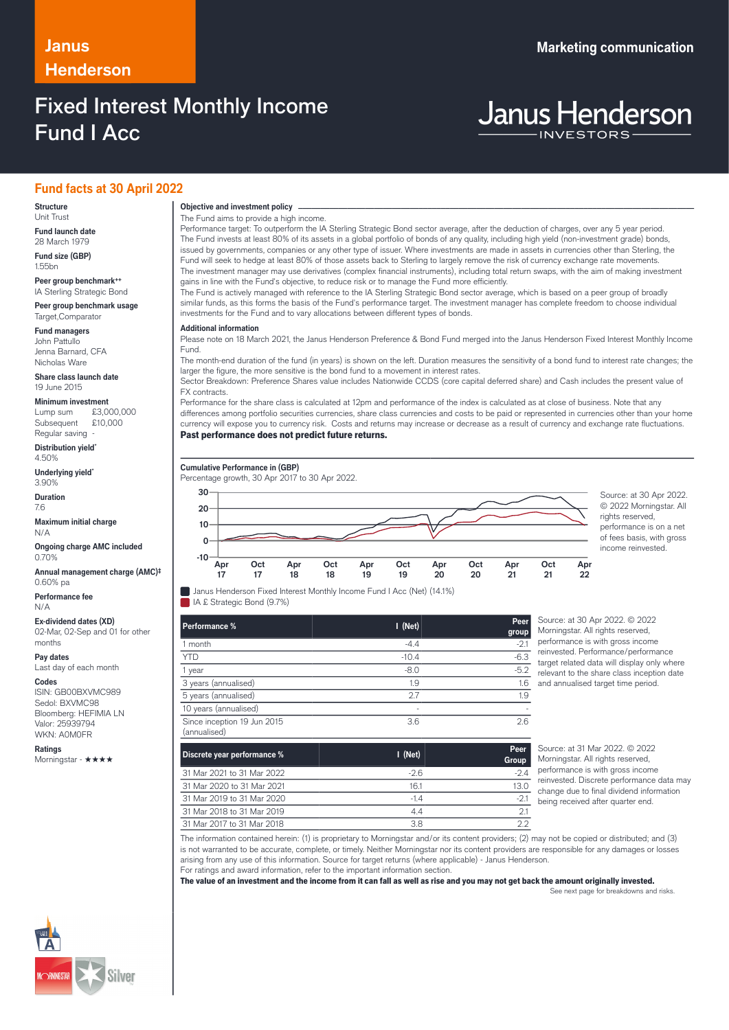### **Janus Marketing communication Henderson**

### Fixed Interest Monthly Income Fund I Acc

**Janus Henderson** 

### **Fund facts at 30 April 2022**

#### **Structure** Unit Trust

**Fund launch date** 28 March 1979

**Fund size (GBP)** 1.55bn

**Peer group benchmark++** IA Sterling Strategic Bond

**Peer group benchmark usage** Target,Comparator

**Fund managers** John Pattullo Jenna Barnard, CFA Nicholas Ware

**Share class launch date** 19 June 2015

**Minimum investment**<br>Lump sum £3.0  $£3,000,000$ <br>£10,000 Subsequent Regular saving

**Distribution yield\*** 4.50%

**Underlying yield\*** 3.90%

**Duration** 7.6

**Maximum initial charge** N/A

**Ongoing charge AMC included** 0.70%

**Annual management charge (AMC)‡** 0.60% pa

**Performance fee** N/A

**Ex-dividend dates (XD)** 02-Mar, 02-Sep and 01 for other months

**Pay dates**

Last day of each month

**Codes**

ISIN: GB00BXVMC989 Sedol: BXVMC98 Bloomberg: HEFIMIA LN Valor: 25939794 WKN: A0M0FR

**Ratings** Morningstar - ★★★★ **Objective and investment policy** ────────────────────────────────────────────────────────────────────────────────────────────────────────────────────────────────────────────────────────────────────────────────────────────────────────────────────────────────────────────────────────────────────────────────────────────────────────────────────────────────────────────────────────────────────────────────────────────────────────────────────────────────────────────────────────────────────────────────────────────────────────────────────

The Fund aims to provide a high income.

Performance target: To outperform the IA Sterling Strategic Bond sector average, after the deduction of charges, over any 5 year period. The Fund invests at least 80% of its assets in a global portfolio of bonds of any quality, including high yield (non-investment grade) bonds, issued by governments, companies or any other type of issuer. Where investments are made in assets in currencies other than Sterling, the Fund will seek to hedge at least 80% of those assets back to Sterling to largely remove the risk of currency exchange rate movements. The investment manager may use derivatives (complex financial instruments), including total return swaps, with the aim of making investment gains in line with the Fund's objective, to reduce risk or to manage the Fund more efficiently.

The Fund is actively managed with reference to the IA Sterling Strategic Bond sector average, which is based on a peer group of broadly similar funds, as this forms the basis of the Fund's performance target. The investment manager has complete freedom to choose individual investments for the Fund and to vary allocations between different types of bonds.

### **Additional information**

Please note on 18 March 2021, the Janus Henderson Preference & Bond Fund merged into the Janus Henderson Fixed Interest Monthly Income Fund.

The month-end duration of the fund (in years) is shown on the left. Duration measures the sensitivity of a bond fund to interest rate changes; the larger the figure, the more sensitive is the bond fund to a movement in interest rates.

Sector Breakdown: Preference Shares value includes Nationwide CCDS (core capital deferred share) and Cash includes the present value of FX contracts.

Performance for the share class is calculated at 12pm and performance of the index is calculated as at close of business. Note that any differences among portfolio securities currencies, share class currencies and costs to be paid or represented in currencies other than your home currency will expose you to currency risk. Costs and returns may increase or decrease as a result of currency and exchange rate fluctuations. Past performance does not predict future returns.

### **Cumulative Performance in (GBP)**

Percentage growth, 30 Apr 2017 to 30 Apr 2022.



© 2022 Morningstar. All rights reserved performance is on a net of fees basis, with gross income reinvested.

| Janus Henderson Fixed Interest Monthly Income Fund I Acc (Net) (14.1%) |  |
|------------------------------------------------------------------------|--|
| IA £ Strategic Bond (9.7%)                                             |  |

| Performance %                               | $I$ (Net) | Peer<br>group |
|---------------------------------------------|-----------|---------------|
| 1 month                                     | $-4.4$    | $-2.1$        |
| <b>YTD</b>                                  | $-10.4$   | $-6.3$        |
| 1 year                                      | $-8.0$    | $-5.2$        |
| 3 years (annualised)                        | 1.9       | 1.6           |
| 5 years (annualised)                        | 2.7       | 1.9           |
| 10 years (annualised)                       | ٠         |               |
| Since inception 19 Jun 2015<br>(annualised) | 3.6       | 2.6           |

Source: at 30 Apr 2022. © 2022 orningstar. All rights reserved, formance is with gross income nvested. Performance/performance get related data will display only where evant to the share class inception date d annualised target time period.

| Discrete year performance % | $I$ (Net) | Peer<br>Group |
|-----------------------------|-----------|---------------|
| 31 Mar 2021 to 31 Mar 2022  | $-2.6$    | $-2.4$        |
| 31 Mar 2020 to 31 Mar 2021  | 16.1      | 13.0          |
| 31 Mar 2019 to 31 Mar 2020  | $-14$     | $-21$         |
| 31 Mar 2018 to 31 Mar 2019  | 44        | つ.            |
| 31 Mar 2017 to 31 Mar 2018  | 38        | つつ            |

Source: at 31 Mar 2022. © 2022 Morningstar. All rights reserved, performance is with gross income reinvested. Discrete performance data may change due to final dividend information being received after quarter end.

The information contained herein: (1) is proprietary to Morningstar and/or its content providers; (2) may not be copied or distributed; and (3) is not warranted to be accurate, complete, or timely. Neither Morningstar nor its content providers are responsible for any damages or losses arising from any use of this information. Source for target returns (where applicable) - Janus Henderson. For ratings and award information, refer to the important information section.

The value of an investment and the income from it can fall as well as rise and you may not get back the amount originally invested.

See next page for breakdowns and risks.